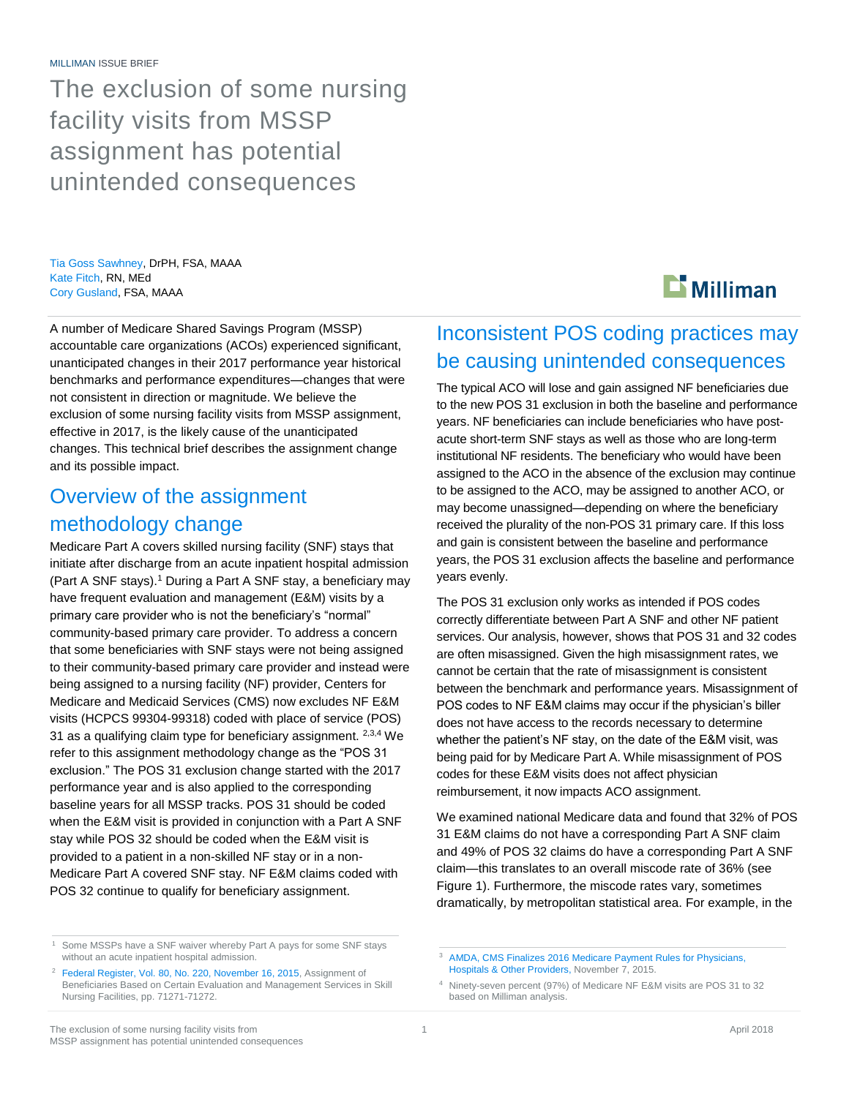The exclusion of some nursing facility visits from MSSP assignment has potential unintended consequences

Tia Goss Sawhney, DrPH, FSA, MAAA Kate Fitch, RN, MEd Cory Gusland, FSA, MAAA

A number of Medicare Shared Savings Program (MSSP) accountable care organizations (ACOs) experienced significant, unanticipated changes in their 2017 performance year historical benchmarks and performance expenditures—changes that were not consistent in direction or magnitude. We believe the exclusion of some nursing facility visits from MSSP assignment, effective in 2017, is the likely cause of the unanticipated changes. This technical brief describes the assignment change and its possible impact.

### Overview of the assignment methodology change

Medicare Part A covers skilled nursing facility (SNF) stays that initiate after discharge from an acute inpatient hospital admission (Part A SNF stays).<sup>1</sup> During a Part A SNF stay, a beneficiary may have frequent evaluation and management (E&M) visits by a primary care provider who is not the beneficiary's "normal" community-based primary care provider. To address a concern that some beneficiaries with SNF stays were not being assigned to their community-based primary care provider and instead were being assigned to a nursing facility (NF) provider, Centers for Medicare and Medicaid Services (CMS) now excludes NF E&M visits (HCPCS 99304-99318) coded with place of service (POS) 31 as a qualifying claim type for beneficiary assignment. 2,3,4 We refer to this assignment methodology change as the "POS 31 exclusion." The POS 31 exclusion change started with the 2017 performance year and is also applied to the corresponding baseline years for all MSSP tracks. POS 31 should be coded when the E&M visit is provided in conjunction with a Part A SNF stay while POS 32 should be coded when the E&M visit is provided to a patient in a non-skilled NF stay or in a non-Medicare Part A covered SNF stay. NF E&M claims coded with POS 32 continue to qualify for beneficiary assignment.

# $\mathbf{\mathbf{\Sigma}}$  Milliman

### Inconsistent POS coding practices may be causing unintended consequences

The typical ACO will lose and gain assigned NF beneficiaries due to the new POS 31 exclusion in both the baseline and performance years. NF beneficiaries can include beneficiaries who have postacute short-term SNF stays as well as those who are long-term institutional NF residents. The beneficiary who would have been assigned to the ACO in the absence of the exclusion may continue to be assigned to the ACO, may be assigned to another ACO, or may become unassigned—depending on where the beneficiary received the plurality of the non-POS 31 primary care. If this loss and gain is consistent between the baseline and performance years, the POS 31 exclusion affects the baseline and performance years evenly.

The POS 31 exclusion only works as intended if POS codes correctly differentiate between Part A SNF and other NF patient services. Our analysis, however, shows that POS 31 and 32 codes are often misassigned. Given the high misassignment rates, we cannot be certain that the rate of misassignment is consistent between the benchmark and performance years. Misassignment of POS codes to NF E&M claims may occur if the physician's biller does not have access to the records necessary to determine whether the patient's NF stay, on the date of the E&M visit, was being paid for by Medicare Part A. While misassignment of POS codes for these E&M visits does not affect physician reimbursement, it now impacts ACO assignment.

We examined national Medicare data and found that 32% of POS 31 E&M claims do not have a corresponding Part A SNF claim and 49% of POS 32 claims do have a corresponding Part A SNF claim—this translates to an overall miscode rate of 36% (see Figure 1). Furthermore, the miscode rates vary, sometimes dramatically, by metropolitan statistical area. For example, in the

Some MSSPs have a SNF waiver whereby Part A pays for some SNF stays without an acute inpatient hospital admission.

<sup>&</sup>lt;sup>2</sup> [Federal Register, Vol. 80, No. 220, November 16, 2015,](https://www.federalregister.gov/documents/2015/11/16/2015-28005/medicare-program-revisions-to-payment-policies-under-the-physician-fee-schedule-and-other-revisions) Assignment of Beneficiaries Based on Certain Evaluation and Management Services in Skill Nursing Facilities, pp. 71271-71272.

<sup>3</sup> [AMDA, CMS Finalizes 2016 Medicare Payment Rules for Physicians,](https://paltc.org/publications/cms-finalizes-2016-medicare-payment-rules-physicians-hospitals-other-providers)  [Hospitals & Other Providers,](https://paltc.org/publications/cms-finalizes-2016-medicare-payment-rules-physicians-hospitals-other-providers) November 7, 2015.

<sup>4</sup> Ninety-seven percent (97%) of Medicare NF E&M visits are POS 31 to 32 based on Milliman analysis.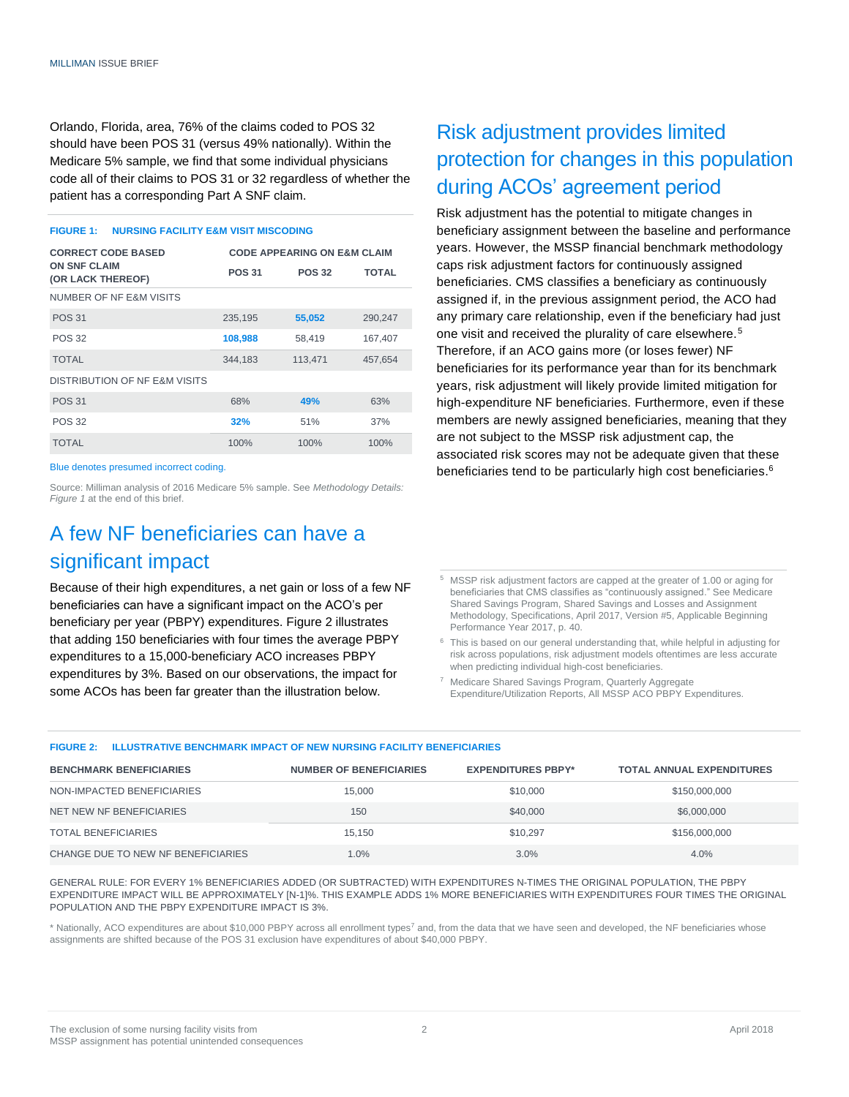Orlando, Florida, area, 76% of the claims coded to POS 32 should have been POS 31 (versus 49% nationally). Within the Medicare 5% sample, we find that some individual physicians code all of their claims to POS 31 or 32 regardless of whether the patient has a corresponding Part A SNF claim.

#### **FIGURE 1: NURSING FACILITY E&M VISIT MISCODING**

| <b>CORRECT CODE BASED</b>                | <b>CODE APPEARING ON E&amp;M CLAIM</b> |               |         |
|------------------------------------------|----------------------------------------|---------------|---------|
| <b>ON SNF CLAIM</b><br>(OR LACK THEREOF) | <b>POS 31</b>                          | <b>POS 32</b> | TOTAL   |
| NUMBER OF NF E&M VISITS                  |                                        |               |         |
| <b>POS 31</b>                            | 235,195                                | 55,052        | 290,247 |
| <b>POS 32</b>                            | 108,988                                | 58,419        | 167,407 |
| <b>TOTAL</b>                             | 344,183                                | 113,471       | 457.654 |
| DISTRIBUTION OF NF E&M VISITS            |                                        |               |         |
| <b>POS 31</b>                            | 68%                                    | 49%           | 63%     |
| <b>POS 32</b>                            | 32%                                    | 51%           | 37%     |
| <b>TOTAL</b>                             | 100%                                   | 100%          | 100%    |

Blue denotes presumed incorrect coding.

Source: Milliman analysis of 2016 Medicare 5% sample. See *Methodology Details: Figure 1* at the end of this brief.

# A few NF beneficiaries can have a significant impact

Because of their high expenditures, a net gain or loss of a few NF beneficiaries can have a significant impact on the ACO's per beneficiary per year (PBPY) expenditures. Figure 2 illustrates that adding 150 beneficiaries with four times the average PBPY expenditures to a 15,000-beneficiary ACO increases PBPY expenditures by 3%. Based on our observations, the impact for some ACOs has been far greater than the illustration below.

# Risk adjustment provides limited protection for changes in this population during ACOs' agreement period

Risk adjustment has the potential to mitigate changes in beneficiary assignment between the baseline and performance years. However, the MSSP financial benchmark methodology caps risk adjustment factors for continuously assigned beneficiaries. CMS classifies a beneficiary as continuously assigned if, in the previous assignment period, the ACO had any primary care relationship, even if the beneficiary had just one visit and received the plurality of care elsewhere.<sup>5</sup> Therefore, if an ACO gains more (or loses fewer) NF beneficiaries for its performance year than for its benchmark years, risk adjustment will likely provide limited mitigation for high-expenditure NF beneficiaries. Furthermore, even if these members are newly assigned beneficiaries, meaning that they are not subject to the MSSP risk adjustment cap, the associated risk scores may not be adequate given that these beneficiaries tend to be particularly high cost beneficiaries.<sup>6</sup>

<sup>5</sup> MSSP risk adjustment factors are capped at the greater of 1.00 or aging for beneficiaries that CMS classifies as "continuously assigned." See Medicare Shared Savings Program, Shared Savings and Losses and Assignment Methodology, Specifications, April 2017, Version #5, Applicable Beginning Performance Year 2017, p. 40.

 $6$  This is based on our general understanding that, while helpful in adjusting for risk across populations, risk adjustment models oftentimes are less accurate when predicting individual high-cost beneficiaries.

<sup>7</sup> Medicare Shared Savings Program, Quarterly Aggregate Expenditure/Utilization Reports, All MSSP ACO PBPY Expenditures.

#### **FIGURE 2: ILLUSTRATIVE BENCHMARK IMPACT OF NEW NURSING FACILITY BENEFICIARIES**

| <b>BENCHMARK BENEFICIARIES</b>     | <b>NUMBER OF BENEFICIARIES</b> | <b>EXPENDITURES PBPY*</b> | <b>TOTAL ANNUAL EXPENDITURES</b> |
|------------------------------------|--------------------------------|---------------------------|----------------------------------|
| NON-IMPACTED BENEFICIARIES         | 15,000                         | \$10,000                  | \$150,000,000                    |
| NET NEW NF BENEFICIARIES           | 150                            | \$40,000                  | \$6,000,000                      |
| TOTAL BENEFICIARIES                | 15.150                         | \$10.297                  | \$156,000,000                    |
| CHANGE DUE TO NEW NF BENEFICIARIES | 1.0%                           | 3.0%                      | 4.0%                             |

GENERAL RULE: FOR EVERY 1% BENEFICIARIES ADDED (OR SUBTRACTED) WITH EXPENDITURES N-TIMES THE ORIGINAL POPULATION, THE PBPY EXPENDITURE IMPACT WILL BE APPROXIMATELY [N-1]%. THIS EXAMPLE ADDS 1% MORE BENEFICIARIES WITH EXPENDITURES FOUR TIMES THE ORIGINAL POPULATION AND THE PBPY EXPENDITURE IMPACT IS 3%.

\* Nationally, ACO expenditures are about \$10,000 PBPY across all enrollment types<sup>7</sup> and, from the data that we have seen and developed, the NF beneficiaries whose assignments are shifted because of the POS 31 exclusion have expenditures of about \$40,000 PBPY.